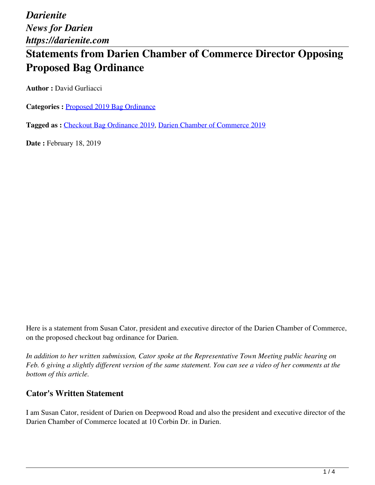# **Statements from Darien Chamber of Commerce Director Opposing Proposed Bag Ordinance**

**Author : David Gurliacci** 

**Categories :** [Proposed 2019 Bag Ordinance](https://darienite.com/category/news/government-politics/proposed-2019-bag-ordinance)

**Tagged as :** Checkout Bag Ordinance 2019, Darien Chamber of Commerce 2019

**Date : February 18, 2019** 

Here is a statement from Susan Cator, president and executive director of the Darien Chamber of Commerce, on the proposed checkout bag ordinance for Darien.

*In addition to her written submission, Cator spoke at the Representative Town Meeting public hearing on Feb. 6 giving a slightly different version of the same statement. You can see a video of her comments at the bottom of this article.*

### **Cator's Written Statement**

I am Susan Cator, resident of Darien on Deepwood Road and also the president and executive director of the Darien Chamber of Commerce located at 10 Corbin Dr. in Darien.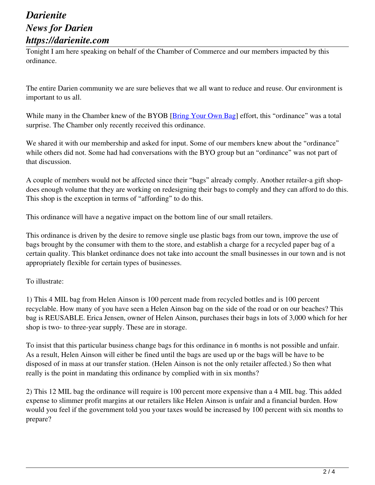Tonight I am here speaking on behalf of the Chamber of Commerce and our members impacted by this ordinance.

The entire Darien community we are sure believes that we all want to reduce and reuse. Our environment is important to us all.

While many in the Chamber knew of the BYOB [Bring Your Own Bag] effort, this "ordinance" was a total surprise. The Chamber only recently received this ordinance.

We shared it with our membership and asked for input. Some of our members knew about the "ordinance" while others did not. Some had had conversations with the BYO group but an "ordinance" was not part of that discussion.

A couple of members would not be affected since their "bags" already comply. Another retailer-a gift shopdoes enough volume that they are working on redesigning their bags to comply and they can afford to do this. This shop is the exception in terms of "affording" to do this.

This ordinance will have a negative impact on the bottom line of our small retailers.

This ordinance is driven by the desire to remove single use plastic bags from our town, improve the use of bags brought by the consumer with them to the store, and establish a charge for a recycled paper bag of a certain quality. This blanket ordinance does not take into account the small businesses in our town and is not appropriately flexible for certain types of businesses.

#### To illustrate:

1) This 4 MIL bag from Helen Ainson is 100 percent made from recycled bottles and is 100 percent recyclable. How many of you have seen a Helen Ainson bag on the side of the road or on our beaches? This bag is REUSABLE. Erica Jensen, owner of Helen Ainson, purchases their bags in lots of 3,000 which for her shop is two- to three-year supply. These are in storage.

To insist that this particular business change bags for this ordinance in 6 months is not possible and unfair. As a result, Helen Ainson will either be fined until the bags are used up or the bags will be have to be disposed of in mass at our transfer station. (Helen Ainson is not the only retailer affected.) So then what really is the point in mandating this ordinance by complied with in six months?

2) This 12 MIL bag the ordinance will require is 100 percent more expensive than a 4 MIL bag. This added expense to slimmer profit margins at our retailers like Helen Ainson is unfair and a financial burden. How would you feel if the government told you your taxes would be increased by 100 percent with six months to prepare?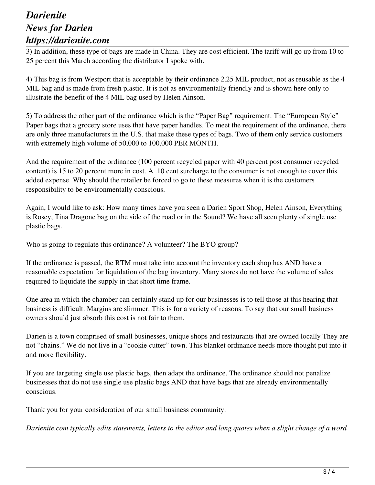3) In addition, these type of bags are made in China. They are cost efficient. The tariff will go up from 10 to 25 percent this March according the distributor I spoke with.

4) This bag is from Westport that is acceptable by their ordinance 2.25 MIL product, not as reusable as the 4 MIL bag and is made from fresh plastic. It is not as environmentally friendly and is shown here only to illustrate the benefit of the 4 MIL bag used by Helen Ainson.

5) To address the other part of the ordinance which is the "Paper Bag" requirement. The "European Style" Paper bags that a grocery store uses that have paper handles. To meet the requirement of the ordinance, there are only three manufacturers in the U.S. that make these types of bags. Two of them only service customers with extremely high volume of 50,000 to 100,000 PER MONTH.

And the requirement of the ordinance (100 percent recycled paper with 40 percent post consumer recycled content) is 15 to 20 percent more in cost. A .10 cent surcharge to the consumer is not enough to cover this added expense. Why should the retailer be forced to go to these measures when it is the customers responsibility to be environmentally conscious.

Again, I would like to ask: How many times have you seen a Darien Sport Shop, Helen Ainson, Everything is Rosey, Tina Dragone bag on the side of the road or in the Sound? We have all seen plenty of single use plastic bags.

Who is going to regulate this ordinance? A volunteer? The BYO group?

If the ordinance is passed, the RTM must take into account the inventory each shop has AND have a reasonable expectation for liquidation of the bag inventory. Many stores do not have the volume of sales required to liquidate the supply in that short time frame.

One area in which the chamber can certainly stand up for our businesses is to tell those at this hearing that business is difficult. Margins are slimmer. This is for a variety of reasons. To say that our small business owners should just absorb this cost is not fair to them.

Darien is a town comprised of small businesses, unique shops and restaurants that are owned locally They are not "chains." We do not live in a "cookie cutter" town. This blanket ordinance needs more thought put into it and more flexibility.

If you are targeting single use plastic bags, then adapt the ordinance. The ordinance should not penalize businesses that do not use single use plastic bags AND that have bags that are already environmentally conscious.

Thank you for your consideration of our small business community.

*Darienite.com typically edits statements, letters to the editor and long quotes when a slight change of a word*